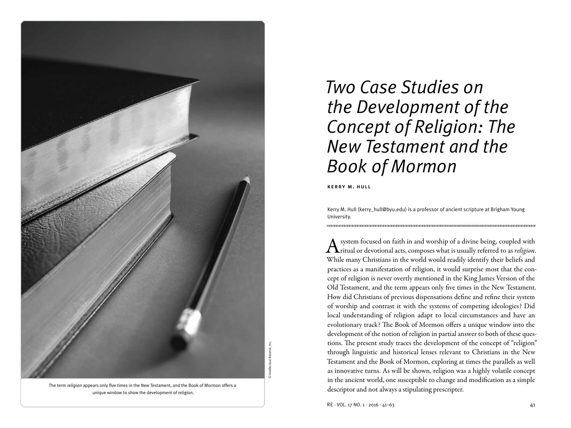

The term *religion* appears only five times in the New Testament, and the Book of Mormon offers a unique window to show the development of religion.

# *Two Case Studies on the Development of the Concept of Religion: The New Testament and the Book of Mormon*

kerry m. hull

Kerry M. Hull (kerry\_hull@byu.edu) is a professor of ancient scripture at Brigham Young University.

A system focused on faith in and worship of a divine being, coupled with <br>ritual or devotional acts, composes what is usually referred to as *religion*. While many Christians in the world would readily identify their beliefs and practices as a manifestation of religion, it would surprise most that the concept of religion is never overtly mentioned in the King James Version of the Old Testament, and the term appears only five times in the New Testament. How did Christians of previous dispensations define and refine their system of worship and contrast it with the systems of competing ideologies? Did local understanding of religion adapt to local circumstances and have an evolutionary track? The Book of Mormon offers a unique window into the development of the notion of religion in partial answer to both of these questions. The present study traces the development of the concept of "religion" through linguistic and historical lenses relevant to Christians in the New Testament and the Book of Mormon, exploring at times the parallels as well as innovative turns. As will be shown, religion was a highly volatile concept in the ancient world, one susceptible to change and modification as a simple descriptor and not always a stipulating prescripter.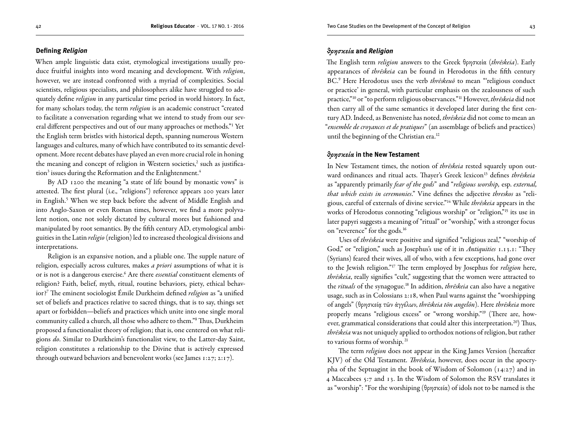#### **Defining** *Religion*

When ample linguistic data exist, etymological investigations usually produce fruitful insights into word meaning and development. With *religion*, however, we are instead confronted with a myriad of complexities. Social scientists, religious specialists, and philosophers alike have struggled to adequately define *religion* in any particular time period in world history. In fact, for many scholars today, the term *religion* is an academic construct "created to facilitate a conversation regarding what we intend to study from our several different perspectives and out of our many approaches or methods."1 Yet the English term bristles with historical depth, spanning numerous Western languages and cultures, many of which have contributed to its semantic development. More recent debates have played an even more crucial role in honing the meaning and concept of religion in Western societies,<sup>2</sup> such as justification<sup>3</sup> issues during the Reformation and the Enlightenment.<sup>4</sup>

By AD 1200 the meaning "a state of life bound by monastic vows" is attested. The first plural (i.e., "religions") reference appears 200 years later in English.<sup>5</sup> When we step back before the advent of Middle English and into Anglo-Saxon or even Roman times, however, we find a more polyvalent notion, one not solely dictated by cultural mores but fashioned and manipulated by root semantics. By the fifth century AD, etymological ambiguities in the Latin *religio* (religion) led to increased theological divisions and interpretations.

Religion is an expansive notion, and a pliable one. The supple nature of religion, especially across cultures, makes *a priori* assumptions of what it is or is not is a dangerous exercise.6 Are there *essential* constituent elements of religion? Faith, belief, myth, ritual, routine behaviors, piety, ethical behavior?7 The eminent sociologist Émile Durkheim defined *religion* as "a unified set of beliefs and practices relative to sacred things, that is to say, things set apart or forbidden—beliefs and practices which unite into one single moral community called a church, all those who adhere to them."8 Thus, Durkheim proposed a functionalist theory of religion; that is, one centered on what religions *do*. Similar to Durkheim's functionalist view, to the Latter-day Saint, religion constitutes a relationship to the Divine that is actively expressed through outward behaviors and benevolent works (see James 1:27; 2:17).

## *θρησκεία* **and** *Religion*

The English term *religion* answers to the Greek θρησκεία (*thrēskeia*). Early appearances of *thrēskeia* can be found in Herodotus in the fifth century BC.9 Here Herodotus uses the verb *thrēskeuō* to mean "'religious conduct or practice' in general, with particular emphasis on the zealousness of such practice,"10 or "to perform religious observances."11 However, *thrēskeia* did not then carry all of the same semantics it developed later during the first century AD. Indeed, as Benveniste has noted, *thrēskeia* did not come to mean an "*ensemble de croyances et de pratiques*" (an assemblage of beliefs and practices) until the beginning of the Christian era.<sup>12</sup>

### *θρησκεία* **in the New Testament**

In New Testament times, the notion of *thrēskeia* rested squarely upon outward ordinances and ritual acts. Thayer's Greek lexicon<sup>13</sup> defines *thrēskeia* as "apparently primarily *fear of the gods*" and "*religious worship,* esp. *external, that which exists in ceremonies*." Vine defines the adjective *threskos* as "religious, careful of externals of divine service."14 While *thrēskeia* appears in the works of Herodotus connoting "religious worship" or "religion,"15 its use in later papyri suggests a meaning of "ritual" or "worship," with a stronger focus on "reverence" for the gods.16

Uses of *thrēskeia* were positive and signified "religious zeal," "worship of God," or "religion," such as Josephus's use of it in *Antiquities* 1.13.1: "They (Syrians) feared their wives, all of who, with a few exceptions, had gone over to the Jewish religion."17 The term employed by Josephus for *religion* here, *thrēskeia*, really signifies "cult," suggesting that the women were attracted to the *rituals* of the synagogue.18 In addition, *thrēskeia* can also have a negative usage, such as in Colossians 2:18, when Paul warns against the "worshipping of angels" (θρησκείᾳ τῶν ἀγγέλων, *thrēskeia tōn angelōn*). Here *thrēskeia* more properly means "religious excess" or "wrong worship."19 (There are, however, grammatical considerations that could alter this interpretation.<sup>20</sup>) Thus, *thrēskeia* was not uniquely applied to orthodox notions of religion, but rather to various forms of worship. 21

The term *religion* does not appear in the King James Version (hereafter KJV) of the Old Testament. *Thrēskeia*, however, does occur in the apocrypha of the Septuagint in the book of Wisdom of Solomon (14:27) and in 4 Maccabees 5:7 and 13. In the Wisdom of Solomon the RSV translates it as "worship": "For the worshiping (θρησκεία) of idols not to be named is the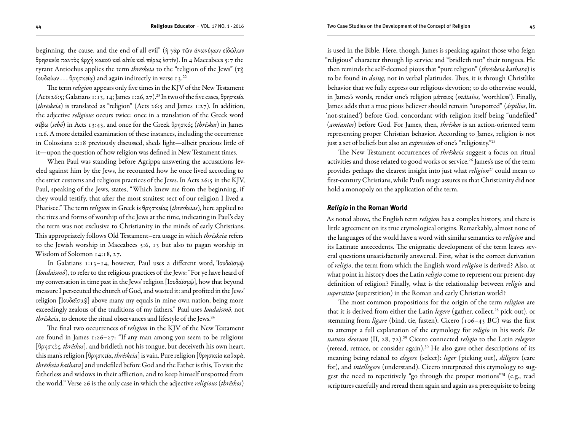beginning, the cause, and the end of all evil" (ἡ γὰρ τῶν ἀνωνύμων εἰδώλων θρησκεία παντὸς ἀρχὴ κακοῦ καὶ αἰτία καὶ πέρας ἐστίν). In 4 Maccabees 5:7 the tyrant Antiochus applies the term *thrēskeia* to the "religion of the Jews" (τῇ Ιουδαίων . . . θρησκείᾳ) and again indirectly in verse 13.22

The term *religion* appears only five times in the KJV of the New Testament (Acts 26:5; Galatians 1:13, 14; James 1:26, 27).<sup>23</sup> In two of the five cases, θρησκεία (*thrēskeia*) is translated as "religion" (Acts 26:5 and James 1:27). In addition, the adjective *religious* occurs twice: once in a translation of the Greek word σέβω (*sebō*) in Acts 13:43, and once for the Greek θρησκός (*thrēskos*) in James 1:26. A more detailed examination of these instances, including the occurrence in Colossians 2:18 previously discussed, sheds light—albeit precious little of it—upon the question of how religion was defined in New Testament times.

When Paul was standing before Agrippa answering the accusations leveled against him by the Jews, he recounted how he once lived according to the strict customs and religious practices of the Jews. In Acts 26:5 in the KJV, Paul, speaking of the Jews, states, "Which knew me from the beginning, if they would testify, that after the most straitest sect of our religion I lived a Pharisee." The term *religion* in Greek is θρησκείας (*thrēskeias*), here applied to the rites and forms of worship of the Jews at the time, indicating in Paul's day the term was not exclusive to Christianity in the minds of early Christians. This appropriately follows Old Testament–era usage in which *thrēskeia* refers to the Jewish worship in Maccabees 5:6, 13 but also to pagan worship in Wisdom of Solomon 14:18, 27.

In Galatians 1:13–14, however, Paul uses a different word, Ἰουδαϊσμῷ (*Ioudaismō*), to refer to the religious practices of the Jews: "For ye have heard of my conversation in time past in the Jews' religion [Ἰουδαϊσμῷ], how that beyond measure I persecuted the church of God, and wasted it: and profited in the Jews' religion [Ἰουδαϊσμῷ] above many my equals in mine own nation, being more exceedingly zealous of the traditions of my fathers." Paul uses *Ioudaismō*, not thrēskeia, to denote the ritual observances and lifestyle of the Jews.<sup>24</sup>

The final two occurrences of *religion* in the KJV of the New Testament are found in James 1:26–27: "If any man among you seem to be religious [θρησκὸς, *thrēskos*], and bridleth not his tongue, but deceiveth his own heart, this man's religion [θρησκεία, *thrēskeia*] is vain. Pure religion [θρησκεία καθαρὰ, *thrēskeia kathara*] and undefiled before God and the Father is this, To visit the fatherless and widows in their affliction, and to keep himself unspotted from the world." Verse 26 is the only case in which the adjective *religious* (*thrēskos*)

is used in the Bible. Here, though, James is speaking against those who feign "religious" character through lip service and "bridleth not" their tongues. He then reminds the self-deemed pious that "pure religion" (*thrēskeia kathara*) is to be found in *doing*, not in verbal platitudes. Thus, it is through Christlike behavior that we fully express our religious devotion; to do otherwise would, in James's words, render one's religion μάταιος (*mátaios*, 'worthless'). Finally, James adds that a true pious believer should remain "unspotted" (*áspilios*, lit. 'not-stained') before God, concordant with religion itself being "undefiled" (*amíantos*) before God. For James, then, *thrēskos* is an action-oriented term representing proper Christian behavior. According to James, religion is not just a set of beliefs but also an *expression* of one's "religiosity."25

The New Testament occurrences of *thrēskeia* suggest a focus on ritual activities and those related to good works or service.<sup>26</sup> James's use of the term provides perhaps the clearest insight into just what *religion*<sup>27</sup> could mean to first-century Christians, while Paul's usage assures us that Christianity did not hold a monopoly on the application of the term.

#### *Religio* **in the Roman World**

As noted above, the English term *religion* has a complex history, and there is little agreement on its true etymological origins. Remarkably, almost none of the languages of the world have a word with similar semantics to *religion* and its Latinate antecedents. The enigmatic development of the term leaves several questions unsatisfactorily answered. First, what is the correct derivation of *religio*, the term from which the English word *religion* is derived? Also, at what point in history does the Latin *religio* come to represent our present-day definition of religion? Finally, what is the relationship between *religio* and *superstitio* (superstition) in the Roman and early Christian world?

The most common propositions for the origin of the term *religion* are that it is derived from either the Latin *legere* (gather, collect,<sup>28</sup> pick out), or stemming from *ligare* (bind, tie, fasten). Cicero (106–43 BC) was the first to attempt a full explanation of the etymology for *religio* in his work *De natura deorum* (II, 28, 72).29 Cicero connected *religio* to the Latin *relegere* (reread, retrace, or consider again).30 He also gave other descriptions of its meaning being related to *elegere* (select): *leger* (picking out), *diligere* (care for), and *intellegere* (understand). Cicero interpreted this etymology to suggest the need to repetitively "go through the proper motions"31 (e.g., read scriptures carefully and reread them again and again as a prerequisite to being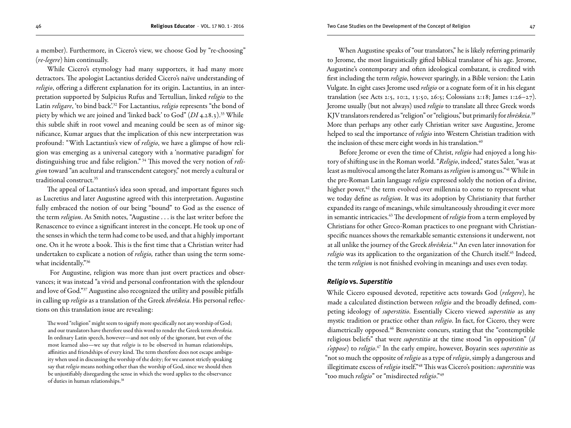a member). Furthermore, in Cicero's view, we choose God by "re-choosing" (*re-legere*) him continually.

While Cicero's etymology had many supporters, it had many more detractors. The apologist Lactantius derided Cicero's naïve understanding of *religio*, offering a different explanation for its origin. Lactantius, in an interpretation supported by Sulpicius Rufus and Tertullian, linked *religio* to the Latin *religare*, 'to bind back'.<sup>32</sup> For Lactantius, *religio* represents "the bond of piety by which we are joined and 'linked back' to God" (*DI* 4.28.3).33 While this subtle shift in root vowel and meaning could be seen as of minor significance, Kumar argues that the implication of this new interpretation was profound: "With Lactantius's view of *religio*, we have a glimpse of how religion was emerging as a universal category with a 'normative paradigm' for distinguishing true and false religion." 34 This moved the very notion of *religion* toward "an acultural and transcendent category," not merely a cultural or traditional construct.35

The appeal of Lactantius's idea soon spread, and important figures such as Lucretius and later Augustine agreed with this interpretation. Augustine fully embraced the notion of our being "bound" to God as the essence of the term *religion*. As Smith notes, "Augustine . . . is the last writer before the Renascence to evince a significant interest in the concept. He took up one of the senses in which the term had come to be used, and that a highly important one. On it he wrote a book. This is the first time that a Christian writer had undertaken to explicate a notion of *religio,* rather than using the term somewhat incidentally."36

 For Augustine, religion was more than just overt practices and observances; it was instead "a vivid and personal confrontation with the splendour and love of God."37 Augustine also recognized the utility and possible pitfalls in calling up *religio* as a translation of the Greek *thrēskeia*. His personal reflections on this translation issue are revealing:

The word "religion" might seem to signify more specifically not any worship of God; and our translators have therefore used this word to render the Greek term *threskeia.* In ordinary Latin speech, however—and not only of the ignorant, but even of the most learned also—we say that *religio* is to be observed in human relationships, affinities and friendships of every kind. The term therefore does not escape ambiguity when used in discussing the worship of the deity; for we cannot strictly speaking say that *religio* means nothing other than the worship of God, since we should then be unjustifiably disregarding the sense in which the word applies to the observance of duties in human relationships.38

When Augustine speaks of "our translators," he is likely referring primarily to Jerome, the most linguistically gifted biblical translator of his age. Jerome, Augustine's contemporary and often ideological combatant, is credited with first including the term *religio*, however sparingly, in a Bible version: the Latin Vulgate. In eight cases Jerome used *religio* or a cognate form of it in his elegant translation (see Acts 2:5, 10:2, 13:50, 26:5; Colossians 2:18; James 1:26–27). Jerome usually (but not always) used *religio* to translate all three Greek words KJV translators rendered as "religion" or "religious," but primarily for *thrēskeia*. 39 More than perhaps any other early Christian writer save Augustine, Jerome helped to seal the importance of *religio* into Western Christian tradition with the inclusion of these mere eight words in his translation.<sup>40</sup>

Before Jerome or even the time of Christ, *religio* had enjoyed a long history of shifting use in the Roman world. "*Religio*, indeed," states Saler, "was at least as multivocal among the later Romans as *religion* is among us."41 While in the pre-Roman Latin language *religio* expressed solely the notion of a divine, higher power,<sup>42</sup> the term evolved over millennia to come to represent what we today define as *religion*. It was its adoption by Christianity that further expanded its range of meanings, while simultaneously shrouding it ever more in semantic intricacies.43 The development of *religio* from a term employed by Christians for other Greco-Roman practices to one pregnant with Christianspecific nuances shows the remarkable semantic extensions it underwent, not at all unlike the journey of the Greek *thrēskeia*. 44 An even later innovation for *religio* was its application to the organization of the Church itself.<sup>45</sup> Indeed, the term *religion* is not finished evolving in meanings and uses even today.

### *Religio* **vs.** *Superstitio*

While Cicero espoused devoted, repetitive acts towards God (*relegere*), he made a calculated distinction between *religio* and the broadly defined, competing ideology of *superstitio*. Essentially Cicero viewed *superstitio* as any mystic tradition or practice other than *religio*. In fact, for Cicero, they were diametrically opposed.46 Benveniste concurs, stating that the "contemptible religious beliefs" that were *superstitio* at the time stood "in opposition" (*il s'oppose*) to *religio*. 47 In the early empire, however, Boyarin sees *superstitio* as "not so much the opposite of *religio* as a type of *religio*, simply a dangerous and illegitimate excess of *religio* itself."48 This was Cicero's position: *superstitio* was "too much *religio*" or "misdirected *religio*."49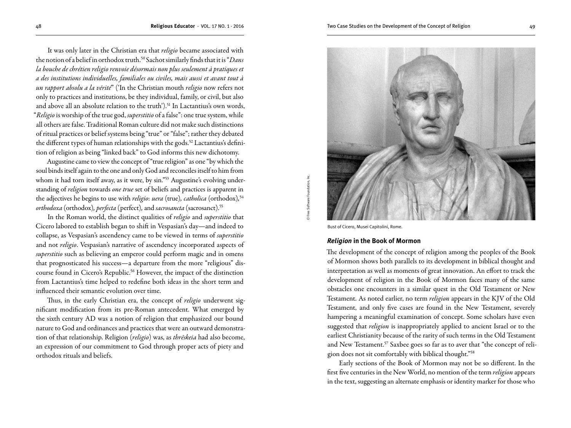It was only later in the Christian era that *religio* became associated with the notion of a belief in orthodox truth.50 Sachot similarly finds that it is "*Dans la bouche de chrétien religio renvoie désormais non plus seulement à pratiques et a des institutions individuelles, familiales ou civiles, mais aussi et avant tout à un rapport absolu a la vérité*" ('In the Christian mouth *religio* now refers not only to practices and institutions, be they individual, family, or civil, but also and above all an absolute relation to the truth').<sup>51</sup> In Lactantius's own words, "*Religio* is worship of the true god, *superstitio* of a false": one true system, while all others are false. Traditional Roman culture did not make such distinctions of ritual practices or belief systems being "true" or "false"; rather they debated the different types of human relationships with the gods.<sup>52</sup> Lactantius's definition of religion as being "linked back" to God informs this new dichotomy.

Augustine came to view the concept of "true religion" as one "by which the soul binds itself again to the one and only God and reconciles itself to him from whom it had torn itself away, as it were, by sin."<sup>53</sup> Augustine's evolving understanding of *religion* towards *one true* set of beliefs and practices is apparent in the adjectives he begins to use with *religio*: *uera* (true)*, catholica* (orthodox)*,* 54 *orthodoxa* (orthodox)*, perfecta* (perfect)*,* and *sacrosancta* (sacrosanct).55

In the Roman world, the distinct qualities of *religio* and *superstitio* that Cicero labored to establish began to shift in Vespasian's day—and indeed to collapse, as Vespasian's ascendency came to be viewed in terms of *superstitio* and not *religio*. Vespasian's narrative of ascendency incorporated aspects of *superstitio* such as believing an emperor could perform magic and in omens that prognosticated his success—a departure from the more "religious" discourse found in Cicero's Republic.<sup>56</sup> However, the impact of the distinction from Lactantius's time helped to redefine both ideas in the short term and influenced their semantic evolution over time.

Thus, in the early Christian era, the concept of *religio* underwent significant modification from its pre-Roman antecedent. What emerged by the sixth century AD was a notion of religion that emphasized our bound nature to God and ordinances and practices that were an outward demonstration of that relationship. Religion (*religio*) was, as *thrēskeia* had also become, an expression of our commitment to God through proper acts of piety and orthodox rituals and beliefs.

© Free Software Foundation, Inc.

Bust of Cicero, Musei Capitolini, Rome.

## *Religion* **in the Book of Mormon**

The development of the concept of religion among the peoples of the Book of Mormon shows both parallels to its development in biblical thought and interpretation as well as moments of great innovation. An effort to track the development of religion in the Book of Mormon faces many of the same obstacles one encounters in a similar quest in the Old Testament or New Testament. As noted earlier, no term *religion* appears in the KJV of the Old Testament, and only five cases are found in the New Testament, severely hampering a meaningful examination of concept. Some scholars have even suggested that *religion* is inappropriately applied to ancient Israel or to the earliest Christianity because of the rarity of such terms in the Old Testament and New Testament.<sup>57</sup> Saxbee goes so far as to aver that "the concept of religion does not sit comfortably with biblical thought."58

Early sections of the Book of Mormon may not be so different. In the first five centuries in the New World, no mention of the term *religion* appears in the text, suggesting an alternate emphasis or identity marker for those who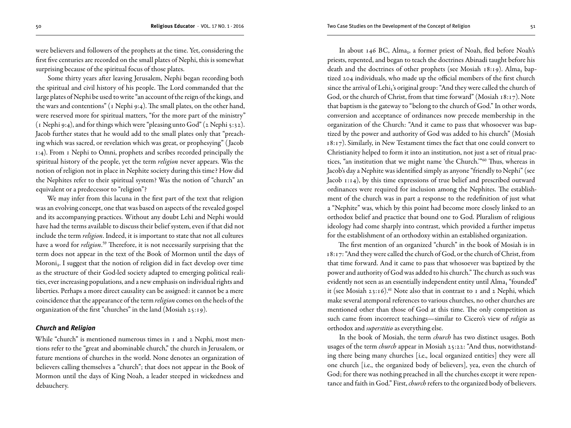were believers and followers of the prophets at the time. Yet, considering the first five centuries are recorded on the small plates of Nephi, this is somewhat surprising because of the spiritual focus of those plates.

Some thirty years after leaving Jerusalem, Nephi began recording both the spiritual and civil history of his people. The Lord commanded that the large plates of Nephi be used to write "an account of the reign of the kings, and the wars and contentions" (1 Nephi 9:4). The small plates, on the other hand, were reserved more for spiritual matters, "for the more part of the ministry" (1 Nephi 9:4), and for things which were "pleasing unto God" (2 Nephi 5:32). Jacob further states that he would add to the small plates only that "preaching which was sacred, or revelation which was great, or prophesying" ( Jacob 1:4). From 1 Nephi to Omni, prophets and scribes recorded principally the spiritual history of the people, yet the term *religion* never appears. Was the notion of religion not in place in Nephite society during this time? How did the Nephites refer to their spiritual system? Was the notion of "church" an equivalent or a predecessor to "religion"?

We may infer from this lacuna in the first part of the text that religion was an evolving concept, one that was based on aspects of the revealed gospel and its accompanying practices. Without any doubt Lehi and Nephi would have had the terms available to discuss their belief system, even if that did not include the term *religion*. Indeed, it is important to state that not all cultures have a word for *religion*. 59 Therefore, it is not necessarily surprising that the term does not appear in the text of the Book of Mormon until the days of Moroni<sub>1</sub>. I suggest that the notion of religion did in fact develop over time as the structure of their God-led society adapted to emerging political realities, ever increasing populations, and a new emphasis on individual rights and liberties. Perhaps a more direct causality can be assigned: it cannot be a mere coincidence that the appearance of the term *religion* comes on the heels of the organization of the first "churches" in the land (Mosiah 25:19).

## *Church* **and** *Religion*

While "church" is mentioned numerous times in 1 and 2 Nephi, most mentions refer to the "great and abominable church," the church in Jerusalem, or future mentions of churches in the world. None denotes an organization of believers calling themselves a "church"; that does not appear in the Book of Mormon until the days of King Noah, a leader steeped in wickedness and debauchery.

In about 146 BC, Alma<sub>1</sub>, a former priest of Noah, fled before Noah's priests, repented, and began to teach the doctrines Abinadi taught before his death and the doctrines of other prophets (see Mosiah 18:19). Alma<sub>1</sub> baptized 204 individuals, who made up the official members of the first church since the arrival of Lehi<sub>1</sub>'s original group: "And they were called the church of God, or the church of Christ, from that time forward" (Mosiah 18:17). Note that baptism is the gateway to "belong to the church of God." In other words, conversion and acceptance of ordinances now precede membership in the organization of the Church: "And it came to pass that whosoever was baptized by the power and authority of God was added to his church" (Mosiah 18:17). Similarly, in New Testament times the fact that one could convert to Christianity helped to form it into an institution, not just a set of ritual practices, "an institution that we might name 'the Church.'"60 Thus, whereas in Jacob's day a Nephite was identified simply as anyone "friendly to Nephi" (see Jacob 1:14), by this time expressions of true belief and prescribed outward ordinances were required for inclusion among the Nephites. The establishment of the church was in part a response to the redefinition of just what a "Nephite" was, which by this point had become more closely linked to an orthodox belief and practice that bound one to God. Pluralism of religious ideology had come sharply into contrast, which provided a further impetus for the establishment of an orthodoxy within an established organization.

The first mention of an organized "church" in the book of Mosiah is in 18:17: "And they were called the church of God, or the church of Christ, from that time forward. And it came to pass that whosoever was baptized by the power and authority of God was added to his church." The church as such was evidently not seen as an essentially independent entity until Alma<sub>1</sub> "founded" it (see Mosiah 23:16).<sup>61</sup> Note also that in contrast to 1 and 2 Nephi, which make several atemporal references to various churches, no other churches are mentioned other than those of God at this time. The only competition as such came from incorrect teachings—similar to Cicero's view of *religio* as orthodox and *superstitio* as everything else.

In the book of Mosiah, the term *church* has two distinct usages. Both usages of the term *church* appear in Mosiah 25:22: "And thus, notwithstanding there being many churches [i.e., local organized entities] they were all one church [i.e., the organized body of believers], yea, even the church of God; for there was nothing preached in all the churches except it were repentance and faith in God." First, *church* refers to the organized body of believers.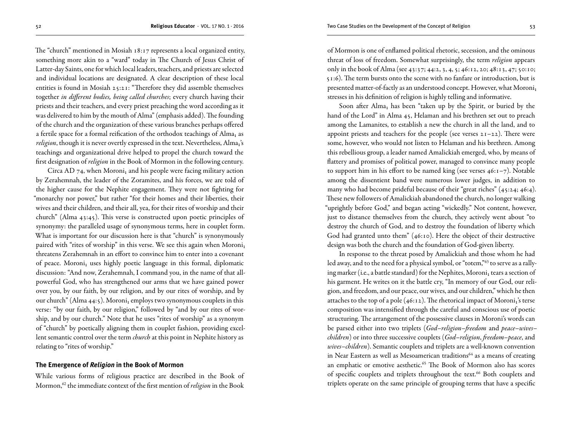The "church" mentioned in Mosiah 18:17 represents a local organized entity, something more akin to a "ward" today in The Church of Jesus Christ of Latter-day Saints, one for which local leaders, teachers, and priests are selected and individual locations are designated. A clear description of these local entities is found in Mosiah 25:21: "Therefore they did assemble themselves together *in different bodies, being called churches*; every church having their priests and their teachers, and every priest preaching the word according as it was delivered to him by the mouth of Alma" (emphasis added). The founding of the church and the organization of these various branches perhaps offered a fertile space for a formal reification of the orthodox teachings of Alma<sub>1</sub> as *religion*, though it is never overtly expressed in the text. Nevertheless, Alma<sub>1</sub>'s teachings and organizational drive helped to propel the church toward the first designation of *religion* in the Book of Mormon in the following century.

Circa AD 74, when Moroni<sub>1</sub> and his people were facing military action by Zerahemnah, the leader of the Zoramites, and his forces, we are told of the higher cause for the Nephite engagement. They were not fighting for "monarchy nor power," but rather "for their homes and their liberties, their wives and their children, and their all, yea, for their rites of worship and their church" (Alma 43:45). This verse is constructed upon poetic principles of synonymy: the paralleled usage of synonymous terms, here in couplet form. What is important for our discussion here is that "church" is synonymously paired with "rites of worship" in this verse. We see this again when Moroni<sub>1</sub> threatens Zerahemnah in an effort to convince him to enter into a covenant of peace. Moroni<sub>1</sub> uses highly poetic language in this formal, diplomatic discussion: "And now, Zerahemnah, I command you, in the name of that allpowerful God, who has strengthened our arms that we have gained power over you, by our faith, by our religion, and by our rites of worship, and by our church" (Alma 44:5). Moroni<sub>1</sub> employs two synonymous couplets in this verse: "by our faith, by our religion," followed by "and by our rites of worship, and by our church." Note that he uses "rites of worship" as a synonym of "church" by poetically aligning them in couplet fashion, providing excellent semantic control over the term *church* at this point in Nephite history as relating to "rites of worship."

## **The Emergence of** *Religion* **in the Book of Mormon**

While various forms of religious practice are described in the Book of Mormon,<sup>62</sup> the immediate context of the first mention of *religion* in the Book

of Mormon is one of enflamed political rhetoric, secession, and the ominous threat of loss of freedom. Somewhat surprisingly, the term *religion* appears only in the book of Alma (see 43:37; 44:2, 3, 4, 5; 46:12, 20; 48:13, 47; 50:10; 51:6). The term bursts onto the scene with no fanfare or introduction, but is presented matter-of-factly as an understood concept. However, what Moroni<sub>1</sub> stresses in his definition of religion is highly telling and informative.

Soon after Alma<sub>1</sub> has been "taken up by the Spirit, or buried by the hand of the Lord" in Alma 45, Helaman and his brethren set out to preach among the Lamanites, to establish a new the church in all the land, and to appoint priests and teachers for the people (see verses  $2I-22$ ). There were some, however, who would not listen to Helaman and his brethren. Among this rebellious group, a leader named Amalickiah emerged, who, by means of flattery and promises of political power, managed to convince many people to support him in his effort to be named king (see verses 46:1–7). Notable among the dissentient band were numerous lower judges, in addition to many who had become prideful because of their "great riches" (45:24; 46:4). These new followers of Amalickiah abandoned the church, no longer walking "uprightly before God," and began acting "wickedly." Not content, however, just to distance themselves from the church, they actively went about "to destroy the church of God, and to destroy the foundation of liberty which God had granted unto them" (46:10). Here the object of their destructive design was both the church and the foundation of God-given liberty.

In response to the threat posed by Amalickiah and those whom he had led away, and to the need for a physical symbol, or "totem,"<sup>63</sup> to serve as a rallying marker (i.e., a battle standard) for the Nephites, Moroni<sub>1</sub> tears a section of his garment. He writes on it the battle cry, "In memory of our God, our religion, and freedom, and our peace, our wives, and our children," which he then attaches to the top of a pole (46:12). The rhetorical impact of Moroni<sub>1</sub>'s terse composition was intensified through the careful and conscious use of poetic structuring. The arrangement of the possessive clauses in Moroni's words can be parsed either into two triplets (*God*–*religion*–*freedom* and *peace*–*wives*– *children*) or into three successive couplets (*God*–*religion*, *freedom*–*peace*, and *wives*–*children*). Semantic couplets and triplets are a well-known convention in Near Eastern as well as Mesoamerican traditions<sup>64</sup> as a means of creating an emphatic or emotive aesthetic.<sup>65</sup> The Book of Mormon also has scores of specific couplets and triplets throughout the text.<sup>66</sup> Both couplets and triplets operate on the same principle of grouping terms that have a specific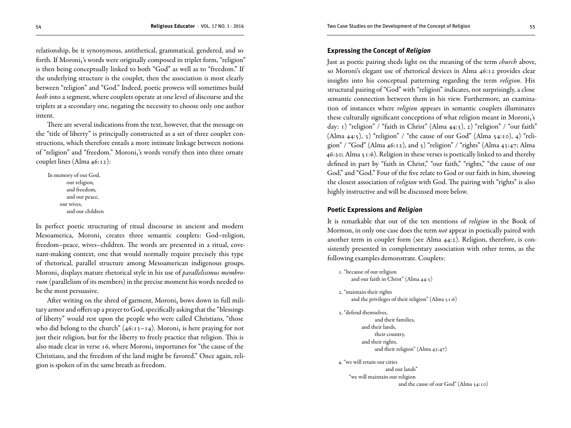relationship, be it synonymous, antithetical, grammatical, gendered, and so forth. If Moroni<sub>1</sub>'s words were originally composed in triplet form, "religion" is then being conceptually linked to both "God" as well as to "freedom." If the underlying structure is the couplet, then the association is most clearly between "religion" and "God." Indeed, poetic prowess will sometimes build *both* into a segment, where couplets operate at one level of discourse and the triplets at a secondary one, negating the necessity to choose only one author intent.

There are several indications from the text, however, that the message on the "title of liberty" is principally constructed as a set of three couplet constructions, which therefore entails a more intimate linkage between notions of "religion" and "freedom." Moroni1's words versify then into three ornate couplet lines (Alma 46:12):

In memory of our God, our religion, and freedom, and our peace, our wives, and our children

In perfect poetic structuring of ritual discourse in ancient and modern Mesoamerica, Moroni<sub>1</sub> creates three semantic couplets: God–religion, freedom–peace, wives–children. The words are presented in a ritual, covenant-making context, one that would normally require precisely this type of rhetorical, parallel structure among Mesoamerican indigenous groups. Moroni₁ displays mature rhetorical style in his use of *parallelisimus membrorum* (parallelism of its members) in the precise moment his words needed to be the most persuasive.

After writing on the shred of garment, Moroni<sub>1</sub> bows down in full military armor and offers up a prayer to God, specifically asking that the "blessings of liberty" would rest upon the people who were called Christians, "those who did belong to the church" (46:13-14). Moroni<sub>1</sub> is here praying for not just their religion, but for the liberty to freely practice that religion. This is also made clear in verse 16, where Moroni<sub>1</sub> importunes for "the cause of the Christians, and the freedom of the land might be favored." Once again, religion is spoken of in the same breath as freedom.

# **Expressing the Concept of** *Religion*

Just as poetic pairing sheds light on the meaning of the term *church* above, so Moroni's elegant use of rhetorical devices in Alma 46:12 provides clear insights into his conceptual patterning regarding the term *religion*. His structural pairing of "God" with "religion" indicates, not surprisingly, a close semantic connection between them in his view. Furthermore, an examination of instances where *religion* appears in semantic couplets illuminates these culturally significant conceptions of what religion meant in Moroni<sub>1</sub>'s day: 1) "religion" / "faith in Christ" (Alma 44:3), 2) "religion" / "our faith" (Alma  $44:5$ ), 3) "religion" / "the cause of our God" (Alma  $54:10$ ), 4) "religion" / "God" (Alma 46:12), and 5) "religion" / "rights" (Alma 43:47; Alma 46:20; Alma 51:6). Religion in these verses is poetically linked to and thereby defined in part by "faith in Christ," "our faith," "rights," "the cause of our God," and "God." Four of the five relate to God or our faith in him, showing the closest association of *religion* with God. The pairing with "rights" is also highly instructive and will be discussed more below.

## **Poetic Expressions and** *Religion*

It is remarkable that out of the ten mentions of *religion* in the Book of Mormon, in only one case does the term *not* appear in poetically paired with another term in couplet form (see Alma 44:2). Religion, therefore, is consistently presented in complementary association with other terms, as the following examples demonstrate. Couplets:

```
1. "because of our religion 
     and our faith in Christ" (Alma 44:3)
2. "maintain their rights 
     and the privileges of their religion" (Alma 51:6)
3. "defend themselves, 
                 and their families,
           and their lands, 
                 their country, 
           and their rights, 
                 and their religion" (Alma 43:47)
4. "we will retain our cities 
                      and our lands" 
    "we will maintain our religion 
                             and the cause of our God" (Alma 54:10)
```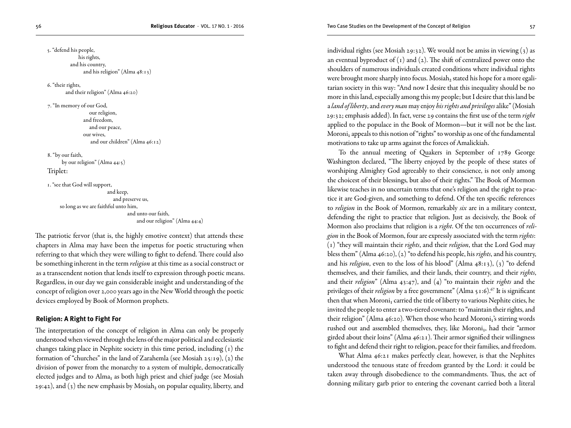**The Religious Educator** · VOL. 17 NO. 1 · 2016 Two Case Studies on the Development of the Concept of Religion 57

5. "defend his people, his rights, and his country, and his religion" (Alma 48:13)

6. "their rights, and their religion" (Alma 46:20)

7. "In memory of our God, our religion, and freedom, and our peace, our wives, and our children" (Alma 46:12)

8. "by our faith, by our religion" (Alma 44:5)

Triplet:

1. "see that God will support,

 and keep, and preserve us, so long as we are faithful unto him, and unto our faith, and our religion" (Alma 44:4)

The patriotic fervor (that is, the highly emotive context) that attends these chapters in Alma may have been the impetus for poetic structuring when referring to that which they were willing to fight to defend. There could also be something inherent in the term *religion* at this time as a social construct or as a transcendent notion that lends itself to expression through poetic means. Regardless, in our day we gain considerable insight and understanding of the concept of religion over 2,000 years ago in the New World through the poetic devices employed by Book of Mormon prophets.

# **Religion: A Right to Fight For**

The interpretation of the concept of religion in Alma can only be properly understood when viewed through the lens of the major political and ecclesiastic changes taking place in Nephite society in this time period, including (1) the formation of "churches" in the land of Zarahemla (see Mosiah 25:19), (2) the division of power from the monarchy to a system of multiple, democratically elected judges and to Alma<sub>1</sub> as both high priest and chief judge (see Mosiah 29:42), and (3) the new emphasis by Mosiah<sub>2</sub> on popular equality, liberty, and

individual rights (see Mosiah 29:32). We would not be amiss in viewing (3) as an eventual byproduct of  $(1)$  and  $(2)$ . The shift of centralized power onto the shoulders of numerous individuals created conditions where individual rights were brought more sharply into focus. Mosiah<sub>2</sub> stated his hope for a more egalitarian society in this way: "And now I desire that this inequality should be no more in this land, especially among this my people; but I desire that this land be a *land of liberty*, and *every man* may enjoy *his rights and privileges* alike" (Mosiah 29:32; emphasis added). In fact, verse 29 contains the first use of the term *right* applied to the populace in the Book of Mormon—but it will not be the last. Moroni<sub>1</sub> appeals to this notion of "rights" to worship as one of the fundamental motivations to take up arms against the forces of Amalickiah.

To the annual meeting of Quakers in September of 1789 George Washington declared, "The liberty enjoyed by the people of these states of worshiping Almighty God agreeably to their conscience, is not only among the choicest of their blessings, but also of their rights." The Book of Mormon likewise teaches in no uncertain terms that one's religion and the right to practice it are God-given, and something to defend. Of the ten specific references to *religion* in the Book of Mormon, remarkably *six* are in a military context, defending the right to practice that religion. Just as decisively, the Book of Mormon also proclaims that religion is a *right*. Of the ten occurrences of *religion* in the Book of Mormon, four are expressly associated with the term *rights*: (1) "they will maintain their *rights*, and their *religion*, that the Lord God may bless them" (Alma 46:20), (2) "to defend his people, his *rights*, and his country, and his *religion*, even to the loss of his blood" (Alma 48:13), (3) "to defend themselves, and their families, and their lands, their country, and their *rights*, and their *religion*" (Alma 43:47), and (4) "to maintain their *rights* and the privileges of their *religion* by a free government" (Alma 51:6).<sup>67</sup> It is significant then that when Moroni<sub>1</sub> carried the title of liberty to various Nephite cities, he invited the people to enter a two-tiered covenant: to "maintain their rights, and their religion" (Alma 46:20). When those who heard Moroni<sub>1</sub>'s stirring words rushed out and assembled themselves, they, like Moroni<sub>1</sub>, had their "armor girded about their loins" (Alma 46:21). Their armor signified their willingness to fight and defend their right to religion, peace for their families, and freedom.

What Alma 46:21 makes perfectly clear, however, is that the Nephites understood the tenuous state of freedom granted by the Lord: it could be taken away through disobedience to the commandments. Thus, the act of donning military garb prior to entering the covenant carried both a literal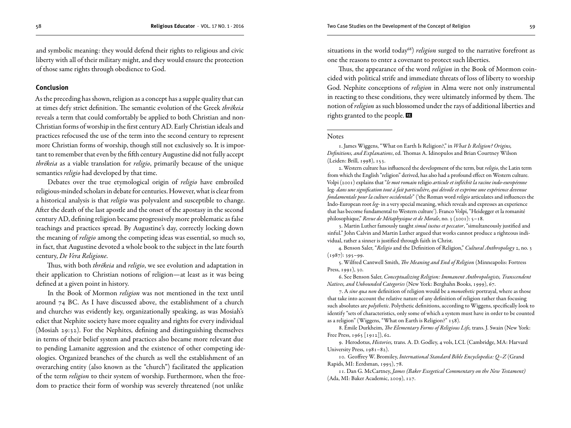and symbolic meaning: they would defend their rights to religious and civic liberty with all of their military might, and they would ensure the protection of those same rights through obedience to God.

## **Conclusion**

As the preceding has shown, religion as a concept has a supple quality that can at times defy strict definition. The semantic evolution of the Greek *thrēkeia* reveals a term that could comfortably be applied to both Christian and non-Christian forms of worship in the first century AD. Early Christian ideals and practices refocused the use of the term into the second century to represent more Christian forms of worship, though still not exclusively so. It is important to remember that even by the fifth century Augustine did not fully accept *thrēkeia* as a viable translation for *religio*, primarily because of the unique semantics *religio* had developed by that time.

Debates over the true etymological origin of *religio* have embroiled religious-minded scholars in debate for centuries. However, what is clear from a historical analysis is that *religio* was polyvalent and susceptible to change. After the death of the last apostle and the onset of the apostasy in the second century AD, defining religion became progressively more problematic as false teachings and practices spread. By Augustine's day, correctly locking down the meaning of *religio* among the competing ideas was essential, so much so, in fact, that Augustine devoted a whole book to the subject in the late fourth century, *De Vera Religione*.

Thus, with both *thrēkeia* and *religio*, we see evolution and adaptation in their application to Christian notions of religion—at least as it was being defined at a given point in history.

In the Book of Mormon *religion* was not mentioned in the text until around 74 BC. As I have discussed above, the establishment of a church and church*es* was evidently key, organizationally speaking, as was Mosiah's edict that Nephite society have more equality and rights for every individual (Mosiah 29:32). For the Nephites, defining and distinguishing themselves in terms of their belief system and practices also became more relevant due to pending Lamanite aggression and the existence of other competing ideologies. Organized branches of the church as well the establishment of an overarching entity (also known as the "church") facilitated the application of the term *religion* to their system of worship. Furthermore, when the freedom to practice their form of worship was severely threatened (not unlike

situations in the world today<sup>68</sup>) *religion* surged to the narrative forefront as one the reasons to enter a covenant to protect such liberties.

Thus, the appearance of the word *religion* in the Book of Mormon coincided with political strife and immediate threats of loss of liberty to worship God. Nephite conceptions of *religion* in Alma were not only instrumental in reacting to these conditions, they were ultimately informed by them. The notion of *religion* as such blossomed under the rays of additional liberties and rights granted to the people.

#### **Notes**

1. James Wiggens, "What on Earth Is Religion?," in *What Is Religion? Origins, Definitions, and Explanations*, ed. Thomas A. Idinopulos and Brian Courtney Wilson (Leiden: Brill, 1998), 153.

2. Western culture has influenced the development of the term, but *religio*, the Latin term from which the English "religion" derived, has also had a profound effect on Western culture. Volpi (2001) explains that "*le mot romain* religio *articule et infléchit la racine indo-européenne*  leg- *dans une signification tout à fait particulière, qui dévoile et exprime une expérience devenue fondamentale pour la culture occidentale*" ('the Roman word *religio* articulates and influences the Indo-European root *leg-* in a very special meaning, which reveals and expresses an experience that has become fundamental to Western culture'). Franco Volpi, "Heidegger et la romanité philosophique," *Revue de Métaphysique et de Morale*, no. 3 (2001): 5–18.

3. Martin Luther famously taught *simul iustus et peccator*, "simultaneously justified and sinful." John Calvin and Martin Luther argued that works cannot produce a righteous individual, rather a sinner is justified through faith in Christ.

4. Benson Saler, "*Religio* and the Definition of Religion," *Cultural Anthropology* 2, no. 3  $(1987): 395 - 99.$ 

5. Wilfred Cantwell Smith, *The Meaning and End of Religion* (Minneapolis: Fortress Press, 1991), 30.

6. See Benson Saler, *Conceptualizing Religion: Immanent Anthropologists, Transcendent Natives, and Unbounded Categories* (New York: Berghahn Books, 1999), 67.

7. A *sine qua non* definition of religion would be a *monothetic* portrayal, where as those that take into account the relative nature of any definition of religion rather than focusing such absolutes are *polythetic*. Polythetic definitions, according to Wiggens, specifically look to identify "sets of characteristics, only some of which a system must have in order to be counted as a religion" (Wiggens, "What on Earth is Religion?" 158).

8. Émile Durkheim, *The Elementary Forms of Religious Life,* trans. J. Swain (New York: Free Press,  $1965$  [1912]), 62.

9. Herodotus, *Histories,* trans. A. D. Godley, 4 vols, LCL (Cambridge, MA: Harvard University Press, 1981–82).

10. Geoffrey W. Bromiley, *International Standard Bible Encyclopedia: Q–Z* (Grand Rapids, MI: Eerdsman, 1995), 78.

11. Dan G. McCartney, *James (Baker Exegetical Commentary on the New Testament)* (Ada, MI: Baker Academic, 2009), 127.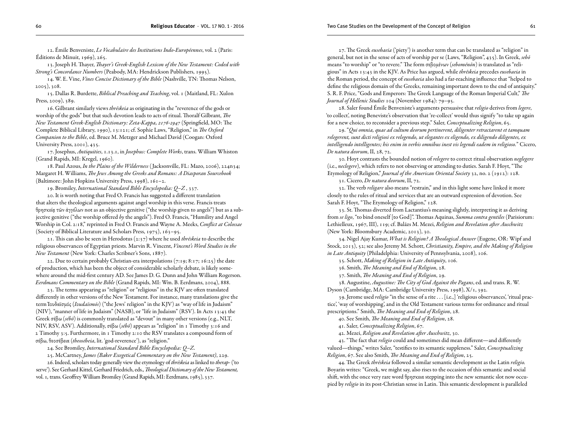12. Émile Benveniste, *Le Vocabulaire des Institutions Indo-Européennes*, vol. 2 (Paris: Éditions de Minuit, 1969), 265.

13. Joseph H. Thayer, *Thayer's Greek-English Lexicon of the New Testament: Coded with Strong's Concordance Numbers* (Peabody, MA: Hendrickson Publishers, 1995).

14. W. E. Vine, *Vines Concise Dictionary of the Bible* (Nashville, TN: Thomas Nelson, 2005), 308.

15. Dallas R. Burdette, *Biblical Preaching and Teaching*, vol. 1 (Maitland, FL: Xulon Press, 2009), 389.

16. Gilbrant similarly views *thrēskeia* as originating in the "reverence of the gods or worship of the gods" but that such devotion leads to acts of ritual. Thoralf Gilbrant, *The New Testament Greek-English Dictionary: Zeta-Kappa, 2176-2947* (Springfield, MO: The Complete Biblical Library, 1990), 13:121; cf. Sophie Laws, "Religion," in *The Oxford Companion to the Bible*, ed. Bruce M. Metzger and Michael David (Coogan: Oxford University Press, 2001), 435.

17. Josephus, *Antiquities*, 1.13.1, in *Josephus: Complete Works*, trans. William Whiston (Grand Rapids, MI: Kregel, 1960).

18. Paul Azous, *In the Plains of the Wilderness* ( Jacksonville, FL: Mazo, 2006), 224n34; Margaret H. Williams, *The Jews Among the Greeks and Romans: A Diasporan Sourcebook* (Baltimore: John Hopkins University Press, 1998), 161–2.

19. Bromiley, *International Standard Bible Encyclopedia: Q–Z* , 337.

20. It is worth noting that Fred O. Francis has suggested a different translation that alters the theological arguments against angel worship in this verse. Francis treats θρησκείᾳ τῶν ἀγγέλων not as an objective genitive ("the worship given to angels") but as a subjective genitive ("the worship offered *by* the angels"). Fred O. Francis, "Humility and Angel Worship in Col. 2:18," reprinted in Fred O. Francis and Wayne A. Meeks, *Conflict at Colossae* (Society of Biblical Literature and Scholars Press, 1975), 163–95.

21. This can also be seen in Herodotus (2:37) where he used *thrēskeia* to describe the religious observances of Egyptian priests. Marvin R. Vincent, *Vincent's Word Studies in the New Testament* (New York: Charles Scribner's Sons, 1887).

22. Due to certain probably Christian-era interpolations (7:19; 8:17; 16:25) the date of production, which has been the object of considerable scholarly debate, is likely somewhere around the mid-first century AD. See James D. G. Dunn and John William Rogerson. *Eerdmans Commentary on the Bible* (Grand Rapids, MI: Wm. B. Eerdmans, 2004), 888.

23. The terms appearing as "religion" or "religious" in the KJV are often translated differently in other versions of the New Testament. For instance, many translations give the term Ἰουδαϊσμός (*Iοudaïsmós*) ("the Jews' religion" in the KJV) as "way of life in Judaism" (NIV), "manner of life in Judaism" (NASB), or "life in Judaism" (RSV). In Acts 13:43 the Greek σέβω (*sébō*) is commonly translated as "devout" in many other versions (e.g., NLT, NIV, RSV, ASV). Additionally, σέβω (*sébō*) appears as "religion" in 1 Timothy 3:16 and 2 Timothy 3:5. Furthermore, in 1 Timothy 2:10 the RSV translates a compound form of σέβω, θεοσέβεια (*theosébeia*, lit. 'god-reverence'), as "religion."

24. See Bromiley, *International Standard Bible Encyclopedia: Q–Z*.

25. McCartney, *James (Baker Exegetical Commentary on the New Testament)*, 229.

26. Indeed, scholars today generally view the etymology of *thrēskeia* as linked to *therap-* ('to serve'). See Gerhard Kittel, Gerhard Friedrich, eds., *Theological Dictionary of the New Testament,*  vol. 1*,* trans. Geoffrey William Bromiley (Grand Rapids, MI: Eerdmans, 1985), 337.

27. The Greek *eusebaeia* ('piety') is another term that can be translated as "religion" in general, but not in the sense of acts of worship per se (Laws, "Religion", 435). In Greek, *sebō*  means "to worship" or "to revere." The form σεβομένων (*seboménōn*) is translated as "religious" in Acts 13:43 in the KJV. As Price has argued, while *thrēskeia* precedes *eusebaeia* in the Roman period, the concept of *eusebaeia* also had a far-reaching influence that "helped to define the religious domain of the Greeks, remaining important down to the end of antiquity." S. R. F. Price, "Gods and Emperors: The Greek Language of the Roman Imperial Cult," *The Journal of Hellenic Studies* 104 (November 1984): 79–95.

28. Saler found Émile Benveniste's arguments persuasive that *religio* derives from *legere*, 'to collect', noting Beneviste's observation that 're-collect' would thus signify "to take up again for a new choice, to reconsider a previous step." Saler, *Conceptualizing Religion*, 65.

29. "*Qui omnia, quae ad cultum deorum pertinerent, diligenter retractarent et tamquam relegerent, sunt dicti religiosi ex relegendo, ut elegantes ex eligendo, ex diligendo diligentes, ex intelligendo intelligentes; his enim in verbis omnibus inest vis legendi eadem in religioso.*" Cicero, *De natura deorum*, II, 28, 72.

30. Hoyt contrasts the bounded notion of *relegere* to correct ritual observation *neglegere* (i.e., *neclegere*), which refers to not observing or attending to duties. Sarah F. Hoyt, "The Etymology of Religion," *Journal of the American Oriental Society* 32, no. 2 (1912): 128.

31. Cicero, *De natura deorum*, II, 72.

32. The verb *religare* also means "restrain," and in this light some have linked it more closely to the rules of ritual and services that are an outward expression of devotion. See Sarah F. Hoyt, "The Etymology of Religion," 128.

33. St. Thomas diverted from Lactantius's meaning slightly, interpreting it as deriving from *se ligo*, "to bind oneself [to God]". Thomas Aquinas, *Summa contra gentiles* (Parisiorum: Lethielleux, 1967, III), 119; cf. Balázs M. Mezei, *Religion and Revelation after Auschwitz* (New York: Bloomsbury Academic, 2013), 30.

34. Nigel Ajay Kumar, *What is Religion? A Theological Answer* (Eugene, OR: Wipf and Stock, 2013), 52; see also Jeremy M. Schott, *Christianity, Empire, and the Making of Religion in Late Antiquity* (Philadelphia: University of Pennsylvania, 2008), 106.

35. Schott, *Making of Religion in Late Antiquity*, 106.

36. Smith, *The Meaning and End of Religion*, 28.

37. Smith, *The Meaning and End of Religion*, 29.

38. Augustine, *Augustine: The City of God Against the Pagans*, ed. and trans. R. W. Dyson (Cambridge, MA: Cambridge University Press, 1998), X/1, 392.

39. Jerome used *religio* "in the sense of a rite . . . [i.e.,] 'religious observances', 'ritual practice', 'way of worshipping', and in the Old Testament various terms for ordinance and ritual prescriptions." Smith, *The Meaning and End of Religion*, 28.

40. See Smith, *The Meaning and End of Religion*, 28.

41. Saler, *Conceptualizing Religion*, 67.

42. Mezei, *Religion and Revelation after Auschwitz*, 30.

43. "The fact that *religio* could and sometimes did mean different—and differently valued—things," writes Saler, "testifies to its semantic suppleness." Saler, *Conceptualizing Religion*, 67. See also Smith, *The Meaning and End of Religion*, 25.

44. The Greek *thrēskeia* followed a similar semantic development as the Latin *religio.* Boyarin writes: "Greek, we might say, also rises to the occasion of this semantic and social shift, with the once very rare word θρησκεια stepping into the new semantic slot now occupied by *religio* in its post-Christian sense in Latin. This semantic development is paralleled